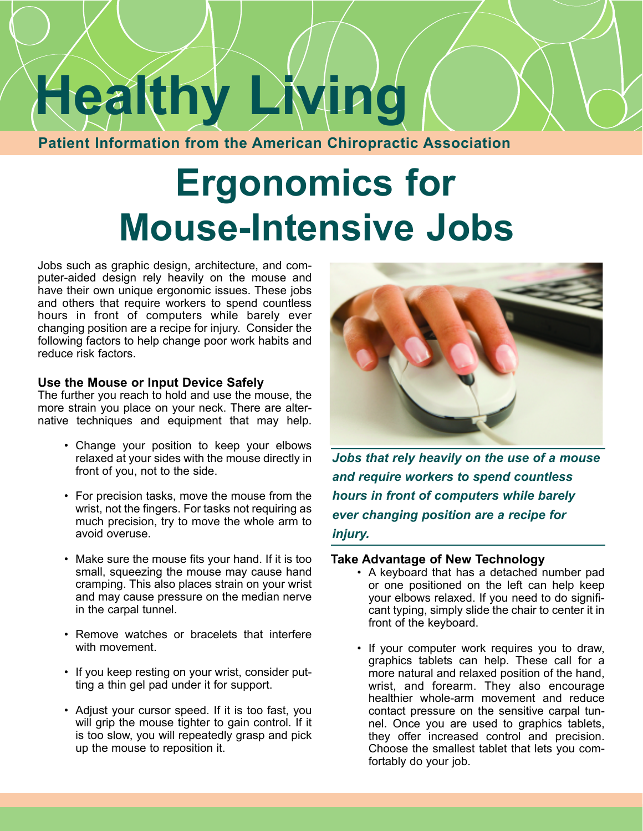# **Healthy Living**

**Patient Information from the American Chiropractic Association**

# **Ergonomics for Mouse-Intensive Jobs**

Jobs such as graphic design, architecture, and computer-aided design rely heavily on the mouse and have their own unique ergonomic issues. These jobs and others that require workers to spend countless hours in front of computers while barely ever changing position are a recipe for injury. Consider the following factors to help change poor work habits and reduce risk factors.

## **Use the Mouse or Input Device Safely**

The further you reach to hold and use the mouse, the more strain you place on your neck. There are alternative techniques and equipment that may help.

- Change your position to keep your elbows relaxed at your sides with the mouse directly in front of you, not to the side.
- For precision tasks, move the mouse from the wrist, not the fingers. For tasks not requiring as much precision, try to move the whole arm to avoid overuse.
- Make sure the mouse fits your hand. If it is too small, squeezing the mouse may cause hand cramping. This also places strain on your wrist and may cause pressure on the median nerve in the carpal tunnel.
- Remove watches or bracelets that interfere with movement.
- If you keep resting on your wrist, consider putting a thin gel pad under it for support.
- Adjust your cursor speed. If it is too fast, you will grip the mouse tighter to gain control. If it is too slow, you will repeatedly grasp and pick up the mouse to reposition it.



*Jobs that rely heavily on the use of a mouse and require workers to spend countless hours in front of computers while barely ever changing position are a recipe for injury.* 

### **Take Advantage of New Technology**

- A keyboard that has a detached number pad or one positioned on the left can help keep your elbows relaxed. If you need to do significant typing, simply slide the chair to center it in front of the keyboard.
- If your computer work requires you to draw, graphics tablets can help. These call for a more natural and relaxed position of the hand, wrist, and forearm. They also encourage healthier whole-arm movement and reduce contact pressure on the sensitive carpal tunnel. Once you are used to graphics tablets, they offer increased control and precision. Choose the smallest tablet that lets you comfortably do your job.